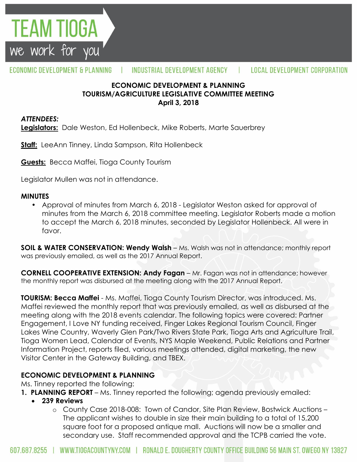

#### ECONOMIC DEVELOPMENT & PLANNING INDUSTRIAL DEVELOPMENT AGENCY  $\mathbf{L}$ **LOCAL DEVELOPMENT CORPORATION**

#### **ECONOMIC DEVELOPMENT & PLANNING TOURISM/AGRICULTURE LEGISLATIVE COMMITTEE MEETING April 3, 2018**

#### *ATTENDEES:*

**Legislators:** Dale Weston, Ed Hollenbeck, Mike Roberts, Marte Sauerbrey

**Staff:** LeeAnn Tinney, Linda Sampson, Rita Hollenbeck

**Guests:** Becca Maffei, Tioga County Tourism

Legislator Mullen was not in attendance.

#### **MINUTES**

• Approval of minutes from March 6, 2018 - Legislator Weston asked for approval of minutes from the March 6, 2018 committee meeting. Legislator Roberts made a motion to accept the March 6, 2018 minutes, seconded by Legislator Hollenbeck. All were in favor.

**SOIL & WATER CONSERVATION: Wendy Walsh** – Ms. Walsh was not in attendance; monthly report was previously emailed, as well as the 2017 Annual Report.

**CORNELL COOPERATIVE EXTENSION: Andy Fagan** – Mr. Fagan was not in attendance; however the monthly report was disbursed at the meeting along with the 2017 Annual Report.

**TOURISM: Becca Maffei** - Ms. Maffei, Tioga County Tourism Director, was introduced. Ms. Maffei reviewed the monthly report that was previously emailed, as well as disbursed at the meeting along with the 2018 events calendar. The following topics were covered: Partner Engagement, I Love NY funding received, Finger Lakes Regional Tourism Council, Finger Lakes Wine Country, Waverly Glen Park/Two Rivers State Park, Tioga Arts and Agriculture Trail, Tioga Women Lead, Calendar of Events, NYS Maple Weekend, Public Relations and Partner Information Project, reports filed, various meetings attended, digital marketing, the new Visitor Center in the Gateway Building, and TBEX.

### **ECONOMIC DEVELOPMENT & PLANNING**

Ms. Tinney reported the following:

- **1. PLANNING REPORT** Ms. Tinney reported the following; agenda previously emailed:
	- **239 Reviews**
		- o County Case 2018-008: Town of Candor, Site Plan Review, Bostwick Auctions The applicant wishes to double in size their main building to a total of 15,200 square foot for a proposed antique mall. Auctions will now be a smaller and secondary use. Staff recommended approval and the TCPB carried the vote.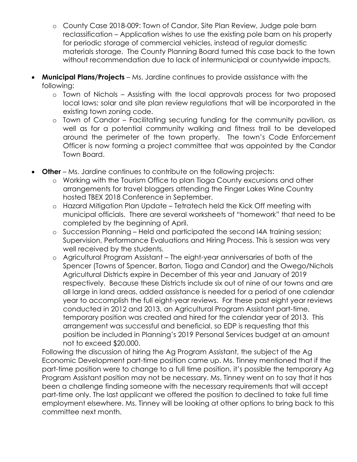- o County Case 2018-009: Town of Candor, Site Plan Review, Judge pole barn reclassification – Application wishes to use the existing pole barn on his property for periodic storage of commercial vehicles, instead of regular domestic materials storage. The County Planning Board turned this case back to the town without recommendation due to lack of intermunicipal or countywide impacts.
- **Municipal Plans/Projects**  Ms. Jardine continues to provide assistance with the following:
	- o Town of Nichols Assisting with the local approvals process for two proposed local laws; solar and site plan review regulations that will be incorporated in the existing town zoning code.
	- o Town of Candor Facilitating securing funding for the community pavilion, as well as for a potential community walking and fitness trail to be developed around the perimeter of the town property. The town's Code Enforcement Officer is now forming a project committee that was appointed by the Candor Town Board.
- **Other** Ms. Jardine continues to contribute on the following projects:
	- o Working with the Tourism Office to plan Tioga County excursions and other arrangements for travel bloggers attending the Finger Lakes Wine Country hosted TBEX 2018 Conference in September.
	- o Hazard Mitigation Plan Update Tetratech held the Kick Off meeting with municipal officials. There are several worksheets of "homework" that need to be completed by the beginning of April.
	- o Succession Planning Held and participated the second I4A training session; Supervision, Performance Evaluations and Hiring Process. This is session was very well received by the students.
	- o Agricultural Program Assistant The eight-year anniversaries of both of the Spencer (Towns of Spencer, Barton, Tioga and Candor) and the Owego/Nichols Agricultural Districts expire in December of this year and January of 2019 respectively. Because these Districts include six out of nine of our towns and are all large in land areas, added assistance is needed for a period of one calendar year to accomplish the full eight-year reviews. For these past eight year reviews conducted in 2012 and 2013, an Agricultural Program Assistant part-time, temporary position was created and hired for the calendar year of 2013. This arrangement was successful and beneficial, so EDP is requesting that this position be included in Planning's 2019 Personal Services budget at an amount not to exceed \$20,000.

Following the discussion of hiring the Ag Program Assistant, the subject of the Ag Economic Development part-time position came up. Ms. Tinney mentioned that if the part-time position were to change to a full time position, it's possible the temporary Ag Program Assistant position may not be necessary. Ms. Tinney went on to say that it has been a challenge finding someone with the necessary requirements that will accept part-time only. The last applicant we offered the position to declined to take full time employment elsewhere. Ms. Tinney will be looking at other options to bring back to this committee next month.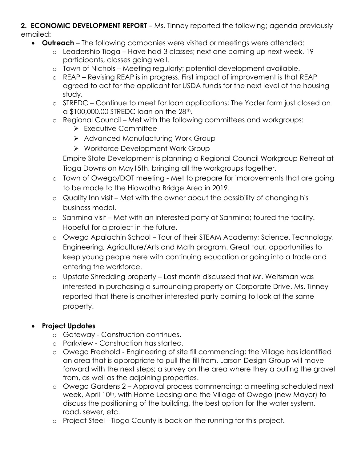#### **2. ECONOMIC DEVELOPMENT REPORT** – Ms. Tinney reported the following; agenda previously emailed:

- **Outreach**  The following companies were visited or meetings were attended:
	- o Leadership Tioga Have had 3 classes; next one coming up next week. 19 participants, classes going well.
	- o Town of Nichols Meeting regularly; potential development available.
	- o REAP Revising REAP is in progress. First impact of improvement is that REAP agreed to act for the applicant for USDA funds for the next level of the housing study.
	- o STREDC Continue to meet for loan applications; The Yoder farm just closed on a \$100,000.00 STREDC loan on the 28th.
	- o Regional Council Met with the following committees and workgroups:
		- > Executive Committee
		- > Advanced Manufacturing Work Group
		- ▶ Workforce Development Work Group

Empire State Development is planning a Regional Council Workgroup Retreat at Tioga Downs on May15th, bringing all the workgroups together.

- o Town of Owego/DOT meeting Met to prepare for improvements that are going to be made to the Hiawatha Bridge Area in 2019.
- o Quality Inn visit Met with the owner about the possibility of changing his business model.
- o Sanmina visit Met with an interested party at Sanmina; toured the facility. Hopeful for a project in the future.
- o Owego Apalachin School Tour of their STEAM Academy; Science, Technology, Engineering, Agriculture/Arts and Math program. Great tour, opportunities to keep young people here with continuing education or going into a trade and entering the workforce.
- o Upstate Shredding property Last month discussed that Mr. Weitsman was interested in purchasing a surrounding property on Corporate Drive. Ms. Tinney reported that there is another interested party coming to look at the same property.

# **Project Updates**

- o Gateway Construction continues.
- o Parkview Construction has started.
- o Owego Freehold Engineering of site fill commencing; the Village has identified an area that is appropriate to pull the fill from. Larson Design Group will move forward with the next steps; a survey on the area where they a pulling the gravel from, as well as the adjoining properties.
- o Owego Gardens 2 Approval process commencing; a meeting scheduled next week, April 10<sup>th</sup>, with Home Leasing and the Village of Owego (new Mayor) to discuss the positioning of the building, the best option for the water system, road, sewer, etc.
- o Project Steel Tioga County is back on the running for this project.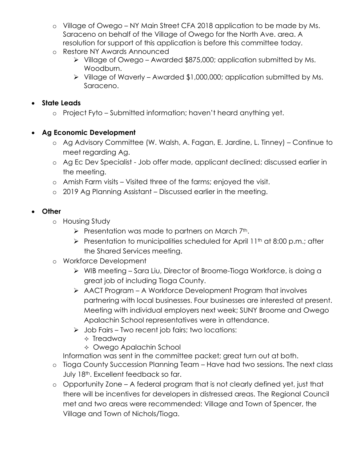- o Village of Owego NY Main Street CFA 2018 application to be made by Ms. Saraceno on behalf of the Village of Owego for the North Ave. area. A resolution for support of this application is before this committee today.
- o Restore NY Awards Announced
	- Village of Owego Awarded \$875,000; application submitted by Ms. Woodburn.
	- $\triangleright$  Village of Waverly Awarded \$1,000,000; application submitted by Ms. Saraceno.

## **State Leads**

o Project Fyto – Submitted information; haven't heard anything yet.

## **Ag Economic Development**

- o Ag Advisory Committee (W. Walsh, A. Fagan, E. Jardine, L. Tinney) Continue to meet regarding Ag.
- o Ag Ec Dev Specialist Job offer made, applicant declined; discussed earlier in the meeting.
- o Amish Farm visits Visited three of the farms; enjoyed the visit.
- o 2019 Ag Planning Assistant Discussed earlier in the meeting.

## **Other**

- o Housing Study
	- $\triangleright$  Presentation was made to partners on March 7<sup>th</sup>.
	- Presentation to municipalities scheduled for April 11<sup>th</sup> at 8:00 p.m.; after the Shared Services meeting.

# o Workforce Development

- WIB meeting Sara Liu, Director of Broome-Tioga Workforce, is doing a great job of including Tioga County.
- AACT Program A Workforce Development Program that involves partnering with local businesses. Four businesses are interested at present. Meeting with individual employers next week; SUNY Broome and Owego Apalachin School representatives were in attendance.
- $\triangleright$  Job Fairs Two recent job fairs; two locations:
	- $\Diamond$  Treadway
	- Owego Apalachin School
- Information was sent in the committee packet; great turn out at both.
- o Tioga County Succession Planning Team Have had two sessions. The next class July 18<sup>th</sup>. Excellent feedback so far.
- o Opportunity Zone A federal program that is not clearly defined yet, just that there will be incentives for developers in distressed areas. The Regional Council met and two areas were recommended: Village and Town of Spencer, the Village and Town of Nichols/Tioga.